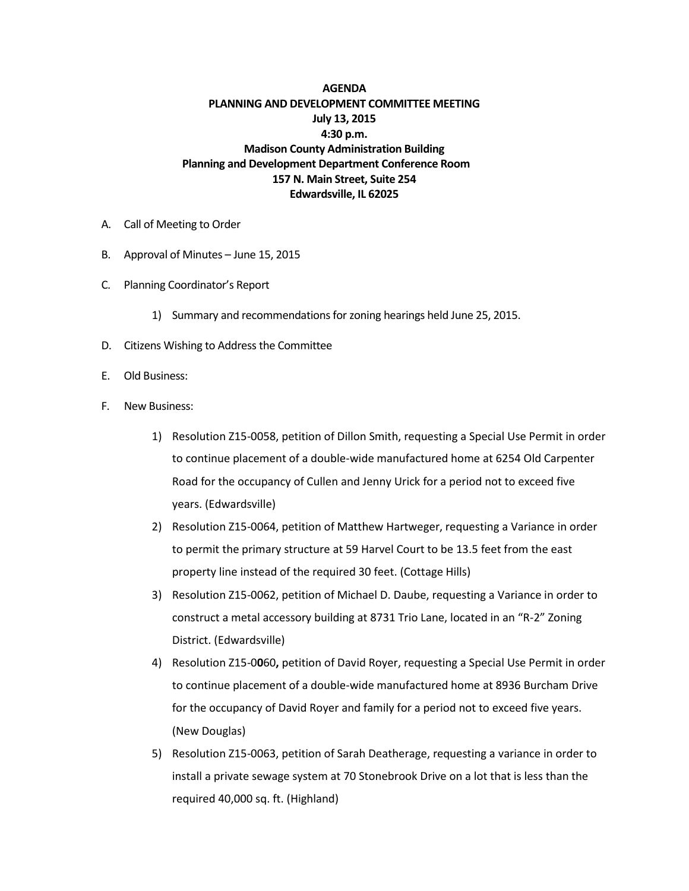## **AGENDA PLANNING AND DEVELOPMENT COMMITTEE MEETING July 13, 2015 4:30 p.m. Madison County Administration Building Planning and Development Department Conference Room 157 N. Main Street, Suite 254 Edwardsville, IL 62025**

- A. Call of Meeting to Order
- B. Approval of Minutes June 15, 2015
- C. Planning Coordinator's Report
	- 1) Summary and recommendations for zoning hearings held June 25, 2015.
- D. Citizens Wishing to Address the Committee
- E. Old Business:
- F. New Business:
	- 1) Resolution Z15-0058, petition of Dillon Smith, requesting a Special Use Permit in order to continue placement of a double-wide manufactured home at 6254 Old Carpenter Road for the occupancy of Cullen and Jenny Urick for a period not to exceed five years. (Edwardsville)
	- 2) Resolution Z15-0064, petition of Matthew Hartweger, requesting a Variance in order to permit the primary structure at 59 Harvel Court to be 13.5 feet from the east property line instead of the required 30 feet. (Cottage Hills)
	- 3) Resolution Z15-0062, petition of Michael D. Daube, requesting a Variance in order to construct a metal accessory building at 8731 Trio Lane, located in an "R-2" Zoning District. (Edwardsville)
	- 4) Resolution Z15-0**0**60**,** petition of David Royer, requesting a Special Use Permit in order to continue placement of a double-wide manufactured home at 8936 Burcham Drive for the occupancy of David Royer and family for a period not to exceed five years. (New Douglas)
	- 5) Resolution Z15-0063, petition of Sarah Deatherage, requesting a variance in order to install a private sewage system at 70 Stonebrook Drive on a lot that is less than the required 40,000 sq. ft. (Highland)